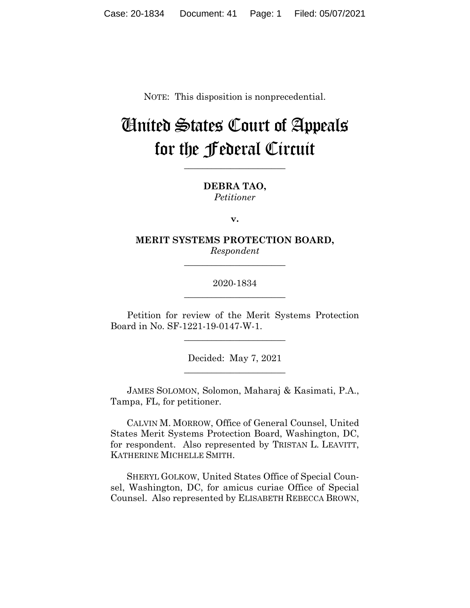NOTE: This disposition is nonprecedential.

# United States Court of Appeals for the Federal Circuit

**\_\_\_\_\_\_\_\_\_\_\_\_\_\_\_\_\_\_\_\_\_\_**

**DEBRA TAO,** *Petitioner*

**v.**

**MERIT SYSTEMS PROTECTION BOARD,** *Respondent*

**\_\_\_\_\_\_\_\_\_\_\_\_\_\_\_\_\_\_\_\_\_\_**

### 2020-1834 **\_\_\_\_\_\_\_\_\_\_\_\_\_\_\_\_\_\_\_\_\_\_**

Petition for review of the Merit Systems Protection Board in No. SF-1221-19-0147-W-1.

\_\_\_\_\_\_\_\_\_\_\_\_\_\_\_\_\_\_\_\_\_\_

Decided: May 7, 2021 \_\_\_\_\_\_\_\_\_\_\_\_\_\_\_\_\_\_\_\_\_\_

JAMES SOLOMON, Solomon, Maharaj & Kasimati, P.A., Tampa, FL, for petitioner.

 CALVIN M. MORROW, Office of General Counsel, United States Merit Systems Protection Board, Washington, DC, for respondent. Also represented by TRISTAN L. LEAVITT, KATHERINE MICHELLE SMITH.

 SHERYL GOLKOW, United States Office of Special Counsel, Washington, DC, for amicus curiae Office of Special Counsel. Also represented by ELISABETH REBECCA BROWN,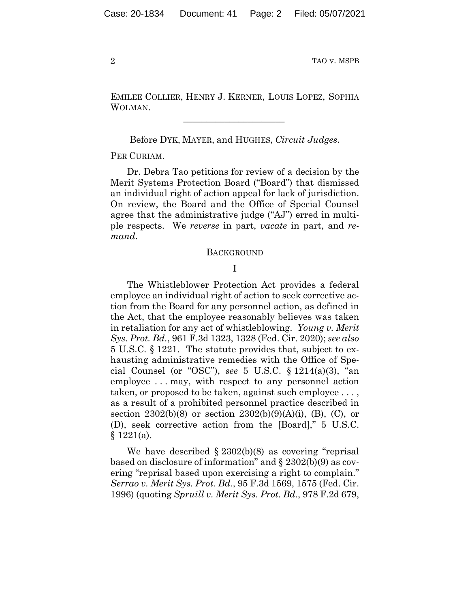EMILEE COLLIER, HENRY J. KERNER, LOUIS LOPEZ, SOPHIA WOLMAN.

 $\mathcal{L}_\text{max}$  and  $\mathcal{L}_\text{max}$  and  $\mathcal{L}_\text{max}$  and  $\mathcal{L}_\text{max}$ 

Before DYK, MAYER, and HUGHES, *Circuit Judges*.

PER CURIAM.

Dr. Debra Tao petitions for review of a decision by the Merit Systems Protection Board ("Board") that dismissed an individual right of action appeal for lack of jurisdiction. On review, the Board and the Office of Special Counsel agree that the administrative judge ("AJ") erred in multiple respects. We *reverse* in part, *vacate* in part, and *remand*.

#### **BACKGROUND**

#### I

The Whistleblower Protection Act provides a federal employee an individual right of action to seek corrective action from the Board for any personnel action, as defined in the Act, that the employee reasonably believes was taken in retaliation for any act of whistleblowing. *Young v. Merit Sys. Prot. Bd.*, 961 F.3d 1323, 1328 (Fed. Cir. 2020); *see also* 5 U.S.C. § 1221. The statute provides that, subject to exhausting administrative remedies with the Office of Special Counsel (or "OSC"), *see* 5 U.S.C. § 1214(a)(3), "an employee . . . may, with respect to any personnel action taken, or proposed to be taken, against such employee . . . , as a result of a prohibited personnel practice described in section 2302(b)(8) or section 2302(b)(9)(A)(i), (B), (C), or (D), seek corrective action from the [Board]," 5 U.S.C.  $§ 1221(a).$ 

We have described § 2302(b)(8) as covering "reprisal based on disclosure of information" and § 2302(b)(9) as covering "reprisal based upon exercising a right to complain." *Serrao v. Merit Sys. Prot. Bd.*, 95 F.3d 1569, 1575 (Fed. Cir. 1996) (quoting *Spruill v. Merit Sys. Prot. Bd.*, 978 F.2d 679,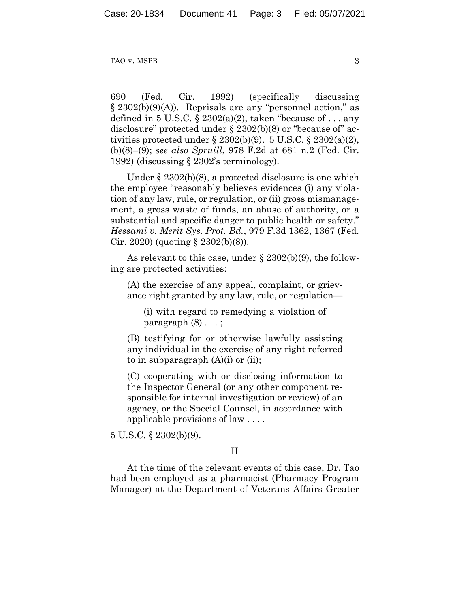690 (Fed. Cir. 1992) (specifically discussing § 2302(b)(9)(A)). Reprisals are any "personnel action," as defined in 5 U.S.C.  $\S 2302(a)(2)$ , taken "because of ... any disclosure" protected under § 2302(b)(8) or "because of" activities protected under  $\S 2302(b)(9)$ . 5 U.S.C.  $\S 2302(a)(2)$ , (b)(8)–(9); *see also Spruill*, 978 F.2d at 681 n.2 (Fed. Cir. 1992) (discussing § 2302's terminology).

Under § 2302(b)(8), a protected disclosure is one which the employee "reasonably believes evidences (i) any violation of any law, rule, or regulation, or (ii) gross mismanagement, a gross waste of funds, an abuse of authority, or a substantial and specific danger to public health or safety." *Hessami v. Merit Sys. Prot. Bd.*, 979 F.3d 1362, 1367 (Fed. Cir. 2020) (quoting  $\S 2302(b)(8)$ ).

As relevant to this case, under § 2302(b)(9), the following are protected activities:

(A) the exercise of any appeal, complaint, or grievance right granted by any law, rule, or regulation—

(i) with regard to remedying a violation of paragraph  $(8) \ldots$ ;

(B) testifying for or otherwise lawfully assisting any individual in the exercise of any right referred to in subparagraph  $(A)(i)$  or  $(ii)$ ;

(C) cooperating with or disclosing information to the Inspector General (or any other component responsible for internal investigation or review) of an agency, or the Special Counsel, in accordance with applicable provisions of law . . . .

5 U.S.C. § 2302(b)(9).

### II

At the time of the relevant events of this case, Dr. Tao had been employed as a pharmacist (Pharmacy Program Manager) at the Department of Veterans Affairs Greater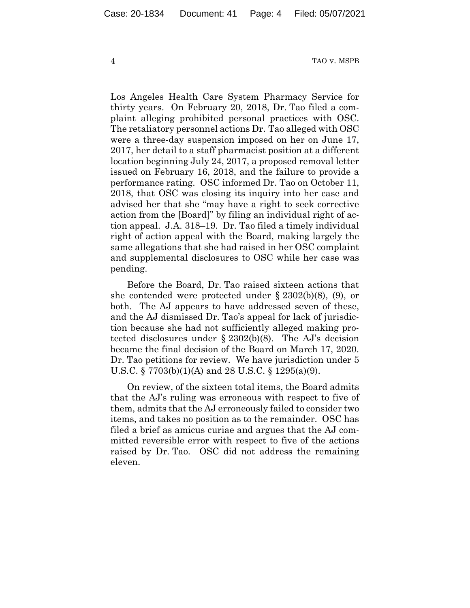Los Angeles Health Care System Pharmacy Service for thirty years. On February 20, 2018, Dr. Tao filed a complaint alleging prohibited personal practices with OSC. The retaliatory personnel actions Dr. Tao alleged with OSC were a three-day suspension imposed on her on June 17, 2017, her detail to a staff pharmacist position at a different location beginning July 24, 2017, a proposed removal letter issued on February 16, 2018, and the failure to provide a performance rating. OSC informed Dr. Tao on October 11, 2018, that OSC was closing its inquiry into her case and advised her that she "may have a right to seek corrective action from the [Board]" by filing an individual right of action appeal. J.A. 318–19. Dr. Tao filed a timely individual right of action appeal with the Board, making largely the same allegations that she had raised in her OSC complaint and supplemental disclosures to OSC while her case was pending.

Before the Board, Dr. Tao raised sixteen actions that she contended were protected under § 2302(b)(8), (9), or both. The AJ appears to have addressed seven of these, and the AJ dismissed Dr. Tao's appeal for lack of jurisdiction because she had not sufficiently alleged making protected disclosures under § 2302(b)(8). The AJ's decision became the final decision of the Board on March 17, 2020. Dr. Tao petitions for review. We have jurisdiction under 5 U.S.C. § 7703(b)(1)(A) and 28 U.S.C. § 1295(a)(9).

On review, of the sixteen total items, the Board admits that the AJ's ruling was erroneous with respect to five of them, admits that the AJ erroneously failed to consider two items, and takes no position as to the remainder. OSC has filed a brief as amicus curiae and argues that the AJ committed reversible error with respect to five of the actions raised by Dr. Tao. OSC did not address the remaining eleven.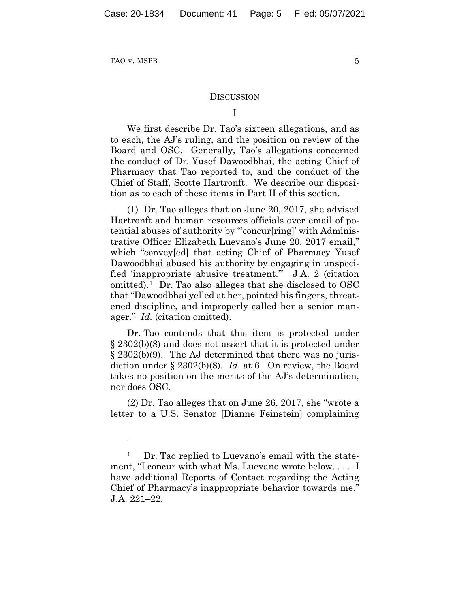#### **DISCUSSION**

We first describe Dr. Tao's sixteen allegations, and as to each, the AJ's ruling, and the position on review of the Board and OSC. Generally, Tao's allegations concerned the conduct of Dr. Yusef Dawoodbhai, the acting Chief of Pharmacy that Tao reported to, and the conduct of the Chief of Staff, Scotte Hartronft. We describe our disposition as to each of these items in Part II of this section.

(1) Dr. Tao alleges that on June 20, 2017, she advised Hartronft and human resources officials over email of potential abuses of authority by "'concur[ring]' with Administrative Officer Elizabeth Luevano's June 20, 2017 email," which "convey[ed] that acting Chief of Pharmacy Yusef Dawoodbhai abused his authority by engaging in unspecified 'inappropriate abusive treatment.'" J.A. 2 (citation omitted).1 Dr. Tao also alleges that she disclosed to OSC that "Dawoodbhai yelled at her, pointed his fingers, threatened discipline, and improperly called her a senior manager." *Id.* (citation omitted).

Dr. Tao contends that this item is protected under § 2302(b)(8) and does not assert that it is protected under § 2302(b)(9). The AJ determined that there was no jurisdiction under § 2302(b)(8). *Id.* at 6. On review, the Board takes no position on the merits of the AJ's determination, nor does OSC.

(2) Dr. Tao alleges that on June 26, 2017, she "wrote a letter to a U.S. Senator [Dianne Feinstein] complaining

<sup>1</sup> Dr. Tao replied to Luevano's email with the statement, "I concur with what Ms. Luevano wrote below. . . . I have additional Reports of Contact regarding the Acting Chief of Pharmacy's inappropriate behavior towards me." J.A. 221–22.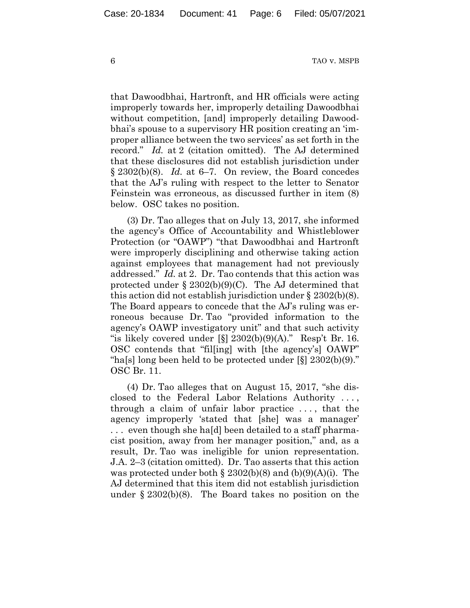that Dawoodbhai, Hartronft, and HR officials were acting improperly towards her, improperly detailing Dawoodbhai without competition, [and] improperly detailing Dawoodbhai's spouse to a supervisory HR position creating an 'improper alliance between the two services' as set forth in the record." *Id.* at 2 (citation omitted). The AJ determined that these disclosures did not establish jurisdiction under § 2302(b)(8). *Id.* at 6–7. On review, the Board concedes that the AJ's ruling with respect to the letter to Senator Feinstein was erroneous, as discussed further in item (8) below. OSC takes no position.

(3) Dr. Tao alleges that on July 13, 2017, she informed the agency's Office of Accountability and Whistleblower Protection (or "OAWP") "that Dawoodbhai and Hartronft were improperly disciplining and otherwise taking action against employees that management had not previously addressed." *Id.* at 2. Dr. Tao contends that this action was protected under  $\S 2302(b)(9)(C)$ . The AJ determined that this action did not establish jurisdiction under § 2302(b)(8). The Board appears to concede that the AJ's ruling was erroneous because Dr. Tao "provided information to the agency's OAWP investigatory unit" and that such activity "is likely covered under  $\lbrack \S \rbrack$  2302(b)(9)(A)." Resp't Br. 16. OSC contends that "fil[ing] with [the agency's] OAWP" "ha[s] long been held to be protected under [§] 2302(b)(9)." OSC Br. 11.

(4) Dr. Tao alleges that on August 15, 2017, "she disclosed to the Federal Labor Relations Authority . . . , through a claim of unfair labor practice . . . , that the agency improperly 'stated that [she] was a manager' . . . even though she ha[d] been detailed to a staff pharmacist position, away from her manager position," and, as a result, Dr. Tao was ineligible for union representation. J.A. 2–3 (citation omitted). Dr. Tao asserts that this action was protected under both  $\S 2302(b)(8)$  and  $(b)(9)(A)(i)$ . The AJ determined that this item did not establish jurisdiction under § 2302(b)(8). The Board takes no position on the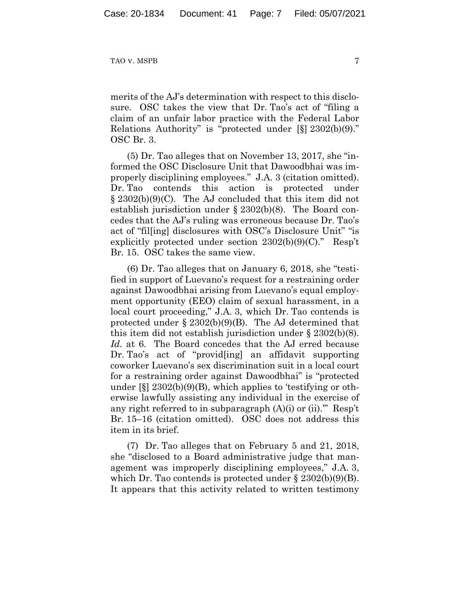merits of the AJ's determination with respect to this disclosure. OSC takes the view that Dr. Tao's act of "filing a claim of an unfair labor practice with the Federal Labor Relations Authority" is "protected under [§] 2302(b)(9)." OSC Br. 3.

(5) Dr. Tao alleges that on November 13, 2017, she "informed the OSC Disclosure Unit that Dawoodbhai was improperly disciplining employees." J.A. 3 (citation omitted). Dr. Tao contends this action is protected under § 2302(b)(9)(C). The AJ concluded that this item did not establish jurisdiction under § 2302(b)(8). The Board concedes that the AJ's ruling was erroneous because Dr. Tao's act of "fil[ing] disclosures with OSC's Disclosure Unit" "is explicitly protected under section 2302(b)(9)(C)." Resp't Br. 15. OSC takes the same view.

(6) Dr. Tao alleges that on January 6, 2018, she "testified in support of Luevano's request for a restraining order against Dawoodbhai arising from Luevano's equal employment opportunity (EEO) claim of sexual harassment, in a local court proceeding," J.A. 3, which Dr. Tao contends is protected under  $\S 2302(b)(9)(B)$ . The AJ determined that this item did not establish jurisdiction under § 2302(b)(8). *Id.* at 6. The Board concedes that the AJ erred because Dr. Tao's act of "provid[ing] an affidavit supporting coworker Luevano's sex discrimination suit in a local court for a restraining order against Dawoodbhai" is "protected under  $[\S]$  2302(b)(9)(B), which applies to 'testifying or otherwise lawfully assisting any individual in the exercise of any right referred to in subparagraph  $(A)(i)$  or  $(ii)$ ." Resp't Br. 15–16 (citation omitted). OSC does not address this item in its brief.

(7) Dr. Tao alleges that on February 5 and 21, 2018, she "disclosed to a Board administrative judge that management was improperly disciplining employees," J.A. 3, which Dr. Tao contends is protected under  $\S 2302(b)(9)(B)$ . It appears that this activity related to written testimony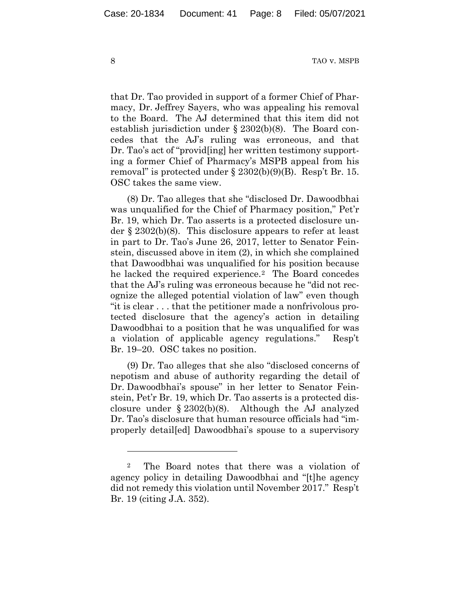that Dr. Tao provided in support of a former Chief of Pharmacy, Dr. Jeffrey Sayers, who was appealing his removal to the Board. The AJ determined that this item did not establish jurisdiction under § 2302(b)(8). The Board concedes that the AJ's ruling was erroneous, and that Dr. Tao's act of "provid[ing] her written testimony supporting a former Chief of Pharmacy's MSPB appeal from his removal" is protected under  $\S 2302(b)(9)(B)$ . Resp't Br. 15. OSC takes the same view.

(8) Dr. Tao alleges that she "disclosed Dr. Dawoodbhai was unqualified for the Chief of Pharmacy position," Pet'r Br. 19, which Dr. Tao asserts is a protected disclosure under § 2302(b)(8). This disclosure appears to refer at least in part to Dr. Tao's June 26, 2017, letter to Senator Feinstein, discussed above in item (2), in which she complained that Dawoodbhai was unqualified for his position because he lacked the required experience.2 The Board concedes that the AJ's ruling was erroneous because he "did not recognize the alleged potential violation of law" even though "it is clear . . . that the petitioner made a nonfrivolous protected disclosure that the agency's action in detailing Dawoodbhai to a position that he was unqualified for was a violation of applicable agency regulations." Resp't Br. 19–20. OSC takes no position.

(9) Dr. Tao alleges that she also "disclosed concerns of nepotism and abuse of authority regarding the detail of Dr. Dawoodbhai's spouse" in her letter to Senator Feinstein, Pet'r Br. 19, which Dr. Tao asserts is a protected disclosure under § 2302(b)(8). Although the AJ analyzed Dr. Tao's disclosure that human resource officials had "improperly detail[ed] Dawoodbhai's spouse to a supervisory

<sup>2</sup> The Board notes that there was a violation of agency policy in detailing Dawoodbhai and "[t]he agency did not remedy this violation until November 2017." Resp't Br. 19 (citing J.A. 352).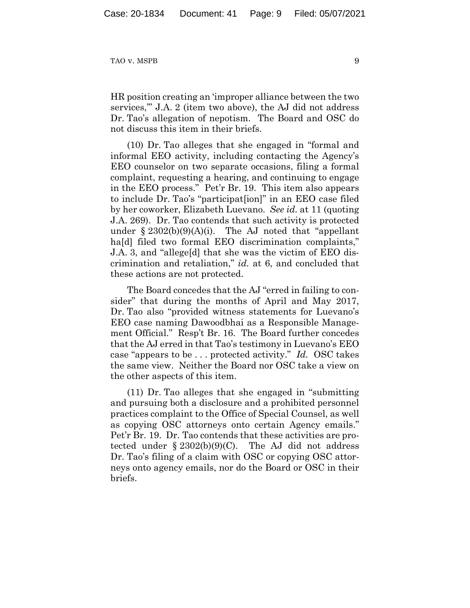HR position creating an 'improper alliance between the two services,'" J.A. 2 (item two above), the AJ did not address Dr. Tao's allegation of nepotism. The Board and OSC do not discuss this item in their briefs.

(10) Dr. Tao alleges that she engaged in "formal and informal EEO activity, including contacting the Agency's EEO counselor on two separate occasions, filing a formal complaint, requesting a hearing, and continuing to engage in the EEO process." Pet'r Br. 19. This item also appears to include Dr. Tao's "participat[ion]" in an EEO case filed by her coworker, Elizabeth Luevano. *See id.* at 11 (quoting J.A. 269). Dr. Tao contends that such activity is protected under  $\S 2302(b)(9)(A)(i)$ . The AJ noted that "appellant" ha<sup>[d]</sup> filed two formal EEO discrimination complaints," J.A. 3, and "allege[d] that she was the victim of EEO discrimination and retaliation," *id.* at 6, and concluded that these actions are not protected.

The Board concedes that the AJ "erred in failing to consider" that during the months of April and May 2017, Dr. Tao also "provided witness statements for Luevano's EEO case naming Dawoodbhai as a Responsible Management Official." Resp't Br. 16. The Board further concedes that the AJ erred in that Tao's testimony in Luevano's EEO case "appears to be . . . protected activity." *Id.* OSC takes the same view. Neither the Board nor OSC take a view on the other aspects of this item.

(11) Dr. Tao alleges that she engaged in "submitting and pursuing both a disclosure and a prohibited personnel practices complaint to the Office of Special Counsel, as well as copying OSC attorneys onto certain Agency emails." Pet'r Br. 19. Dr. Tao contends that these activities are protected under  $\S 2302(b)(9)(C)$ . The AJ did not address Dr. Tao's filing of a claim with OSC or copying OSC attorneys onto agency emails, nor do the Board or OSC in their briefs.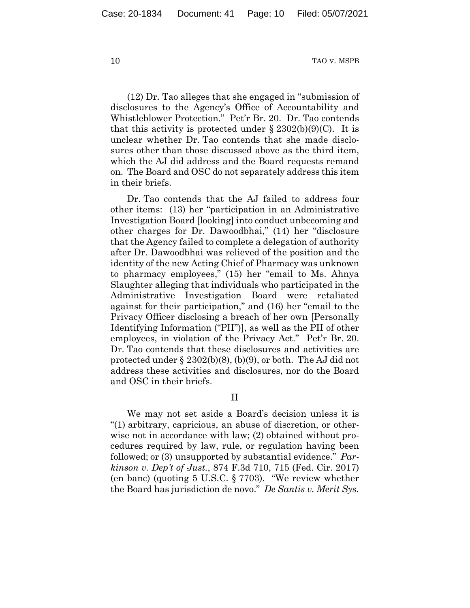(12) Dr. Tao alleges that she engaged in "submission of disclosures to the Agency's Office of Accountability and Whistleblower Protection." Pet'r Br. 20. Dr. Tao contends that this activity is protected under  $\S 2302(b)(9)(C)$ . It is unclear whether Dr. Tao contends that she made disclosures other than those discussed above as the third item, which the AJ did address and the Board requests remand on. The Board and OSC do not separately address this item in their briefs.

Dr. Tao contends that the AJ failed to address four other items: (13) her "participation in an Administrative Investigation Board [looking] into conduct unbecoming and other charges for Dr. Dawoodbhai," (14) her "disclosure that the Agency failed to complete a delegation of authority after Dr. Dawoodbhai was relieved of the position and the identity of the new Acting Chief of Pharmacy was unknown to pharmacy employees," (15) her "email to Ms. Ahnya Slaughter alleging that individuals who participated in the Administrative Investigation Board were retaliated against for their participation," and (16) her "email to the Privacy Officer disclosing a breach of her own [Personally Identifying Information ("PII")], as well as the PII of other employees, in violation of the Privacy Act." Pet'r Br. 20. Dr. Tao contends that these disclosures and activities are protected under  $\S 2302(b)(8)$ , (b)(9), or both. The AJ did not address these activities and disclosures, nor do the Board and OSC in their briefs.

II

We may not set aside a Board's decision unless it is "(1) arbitrary, capricious, an abuse of discretion, or otherwise not in accordance with law; (2) obtained without procedures required by law, rule, or regulation having been followed; or (3) unsupported by substantial evidence." *Parkinson v. Dep't of Just.*, 874 F.3d 710, 715 (Fed. Cir. 2017) (en banc) (quoting 5 U.S.C. § 7703). "We review whether the Board has jurisdiction de novo." *De Santis v. Merit Sys.*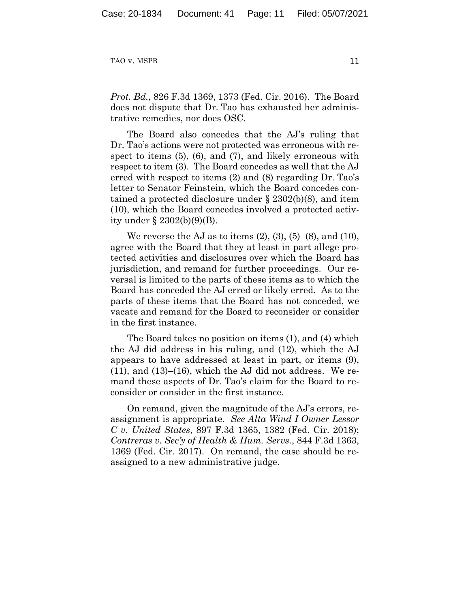*Prot. Bd.*, 826 F.3d 1369, 1373 (Fed. Cir. 2016). The Board does not dispute that Dr. Tao has exhausted her administrative remedies, nor does OSC.

The Board also concedes that the AJ's ruling that Dr. Tao's actions were not protected was erroneous with respect to items  $(5)$ ,  $(6)$ , and  $(7)$ , and likely erroneous with respect to item (3). The Board concedes as well that the AJ erred with respect to items (2) and (8) regarding Dr. Tao's letter to Senator Feinstein, which the Board concedes contained a protected disclosure under § 2302(b)(8), and item (10), which the Board concedes involved a protected activity under § 2302(b)(9)(B).

We reverse the AJ as to items  $(2)$ ,  $(3)$ ,  $(5)$ – $(8)$ , and  $(10)$ , agree with the Board that they at least in part allege protected activities and disclosures over which the Board has jurisdiction, and remand for further proceedings. Our reversal is limited to the parts of these items as to which the Board has conceded the AJ erred or likely erred. As to the parts of these items that the Board has not conceded, we vacate and remand for the Board to reconsider or consider in the first instance.

The Board takes no position on items (1), and (4) which the AJ did address in his ruling, and (12), which the AJ appears to have addressed at least in part, or items (9),  $(11)$ , and  $(13)$ – $(16)$ , which the AJ did not address. We remand these aspects of Dr. Tao's claim for the Board to reconsider or consider in the first instance.

On remand, given the magnitude of the AJ's errors, reassignment is appropriate. *See Alta Wind I Owner Lessor C v. United States*, 897 F.3d 1365, 1382 (Fed. Cir. 2018); *Contreras v. Sec'y of Health & Hum. Servs.*, 844 F.3d 1363, 1369 (Fed. Cir. 2017). On remand, the case should be reassigned to a new administrative judge.